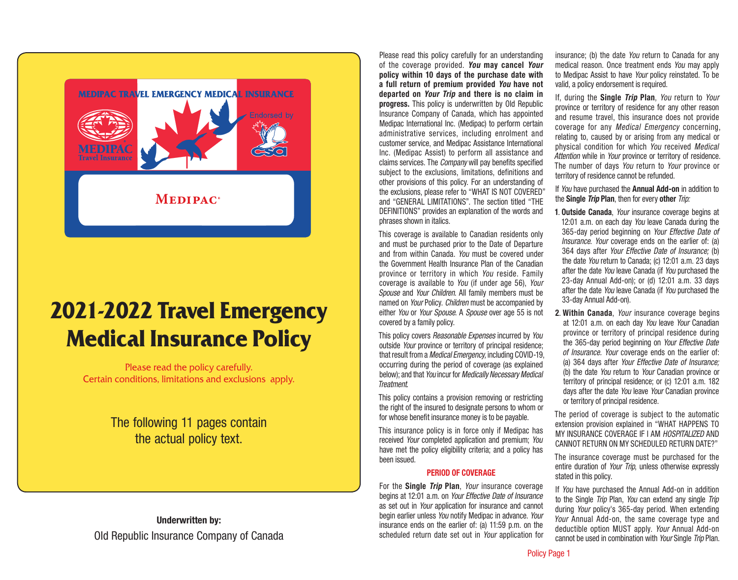

# **2021-2022 Travel Emergency Medical Insurance Policy**

Please read the policy carefully. Certain conditions, limitations and exclusions apply.

> The following 11 pages contain the actual policy text.

Underwritten by: Old Republic Insurance Company of Canada Please read this policy carefully for an understanding of the coverage provided. *You* may cancel *Your* policy within 10 days of the purchase date with a full return of premium provided *You* have not departed on *Your Trip* and there is no claim in progress. This policy is underwritten by Old Republic Insurance Company of Canada, which has appointed Medipac International Inc. (Medipac) to perform certain administrative services, including enrolment and customer service, and Medipac Assistance International Inc. (Medipac Assist) to perform all assistance and claims services. The *Company* will pay benefits specified subject to the exclusions, limitations, definitions and other provisions of this policy. For an understanding of the exclusions, please refer to "WHAT IS NOT COVERED" and "GENERAL LIMITATIONS". The section titled "THE DEFINITIONS" provides an explanation of the words and phrases shown in italics.

This coverage is available to Canadian residents only and must be purchased prior to the Date of Departure and from within Canada. *You* must be covered under the Government Health Insurance Plan of the Canadian province or territory in which *You* reside. Family coverage is available to *You* (if under age 56), *Your Spouse* and *Your Children*. All family members must be named on *Your* Policy. *Children* must be accompanied by either *You* or *Your Spouse*. A *Spouse* over age 55 is not covered by a family policy.

This policy covers *Reasonable Expenses* incurred by *You*  outside *Your* province or territory of principal residence; that result from a *Medical Emergency,* including COVID-19, occurring during the period of coverage (as explained below); and that *You* incur for *Medically Necessary Medical Treatment*.

This policy contains a provision removing or restricting the right of the insured to designate persons to whom or for whose benefit insurance money is to be payable.

This insurance policy is in force only if Medipac has received *Your* completed application and premium; *You* have met the policy eligibility criteria; and a policy has been issued.

## PERIOD OF COVERAGE

For the Single *Trip* Plan, *Your* insurance coverage begins at 12:01 a.m. on *Your Effective Date of Insurance* as set out in *Your* application for insurance and cannot begin earlier unless *You* notify Medipac in advance. *Your* insurance ends on the earlier of: (a) 11:59 p.m. on the scheduled return date set out in *Your* application for insurance; (b) the date *You* return to Canada for any medical reason. Once treatment ends *You* may apply to Medipac Assist to have *Your* policy reinstated. To be valid, a policy endorsement is required.

If, during the Single *Trip* Plan, *You* return to *Your* province or territory of residence for any other reason and resume travel, this insurance does not provide coverage for any *Medical Emergency* concerning, relating to, caused by or arising from any medical or physical condition for which *You* received *Medical Attention* while in *Your* province or territory of residence. The number of days *You* return to *Your* province or territory of residence cannot be refunded.

If *You* have purchased the Annual Add-on in addition to the Single *Trip* Plan, then for every other *Trip:*

- 1. Outside Canada, *Your* insurance coverage begins at 12:01 a.m. on each day *You* leave Canada during the 365-day period beginning on *Your Effective Date of Insurance*. *Your* coverage ends on the earlier of: (a) 364 days after *Your Effective Date of Insurance;* (b) the date *You* return to Canada; (c) 12:01 a.m. 23 days after the date *You* leave Canada (if *You* purchased the 23-day Annual Add-on); or (d) 12:01 a.m. 33 days after the date *You* leave Canada (if *You* purchased the 33-day Annual Add-on).
- 2. Within Canada, *Your* insurance coverage begins at 12:01 a.m. on each day *You* leave *Your* Canadian province or territory of principal residence during the 365-day period beginning on *Your Effective Date of Insurance. Your* coverage ends on the earlier of: (a) 364 days after *Your Effective Date of Insurance;* (b) the date *You* return to *Your* Canadian province or territory of principal residence; or (c) 12:01 a.m. 182 days after the date *You* leave *Your* Canadian province or territory of principal residence.

The period of coverage is subject to the automatic extension provision explained in "WHAT HAPPENS TO MY INSURANCE COVERAGE IF I AM *HOSPITALIZED* AND CANNOT RETURN ON MY SCHEDULED RETURN DATE?"

The insurance coverage must be purchased for the entire duration of *Your Trip*, unless otherwise expressly stated in this policy.

If *You* have purchased the Annual Add-on in addition to the Single *Trip* Plan, *You* can extend any single *Trip* during *Your* policy's 365-day period. When extending *Your* Annual Add-on, the same coverage type and deductible option MUST apply. *Your* Annual Add-on cannot be used in combination with *Your* Single *Trip* Plan.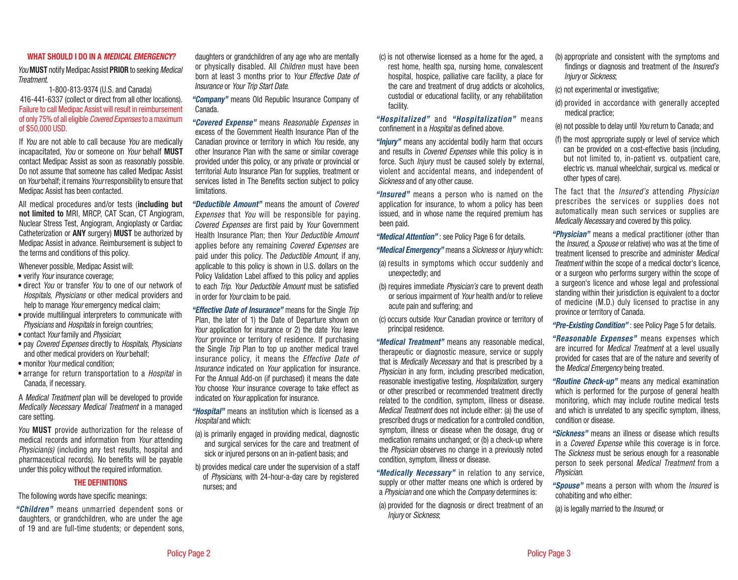## WHAT SHOULD I DO IN A *MEDICAL EMERGENCY?*

*You* MUST notify Medipac Assist PRIOR to seeking *Medical Treatment*.

1-800-813-9374 (U.S. and Canada) 416-441-6337 (collect or direct from all other locations). Failure to call Medipac Assist will result in reimbursement of only 75% of all eligible *Covered Expenses* to a maximum of \$50,000 USD.

If *You* are not able to call because *You* are medically incapacitated, *You* or someone on *Your* behalf MUST contact Medipac Assist as soon as reasonably possible. Do not assume that someone has called Medipac Assist on *Your* behalf; it remains *Your* responsibility to ensure that Medipac Assist has been contacted.

All medical procedures and/or tests (including but not limited to MRI, MRCP, CAT Scan, CT Angiogram, Nuclear Stress Test, Angiogram, Angioplasty or Cardiac Catheterization or ANY surgery) MUST be authorized by Medipac Assist in advance. Reimbursement is subject to the terms and conditions of this policy.

Whenever possible, Medipac Assist will:

- verify *Your* insurance coverage;
- direct *You* or transfer *You* to one of our network of *Hospitals*, *Physicians* or other medical providers and help to manage *Your* emergency medical claim;
- provide multilingual interpreters to communicate with *Physicians* and *Hospitals* in foreign countries;
- contact *Your* family and *Physician*;
- pay *Covered Expenses* directly to *Hospitals*, *Physicians* and other medical providers on *Your* behalf;
- monitor *Your* medical condition;
- arrange for return transportation to a *Hospital* in Canada, if necessary.

A *Medical Treatment* plan will be developed to provide *Medically Necessary Medical Treatment* in a managed care setting.

*You* MUST provide authorization for the release of medical records and information from *Your* attending *Physician(s)* (including any test results, hospital and pharmaceutical records). No benefits will be payable under this policy without the required information.

## THE DEFINITIONS

The following words have specific meanings:

*"Children"* means unmarried dependent sons or daughters, or grandchildren, who are under the age of 19 and are full-time students; or dependent sons, daughters or grandchildren of any age who are mentally or physically disabled. All *Children* must have been born at least 3 months prior to *Your Effective Date of Insurance* or *Your Trip Start Date*.

*"Company"* means Old Republic Insurance Company of Canada.

*"Covered Expense"* means *Reasonable Expenses* in excess of the Government Health Insurance Plan of the Canadian province or territory in which *You* reside, any other Insurance Plan with the same or similar coverage provided under this policy, or any private or provincial or territorial Auto Insurance Plan for supplies, treatment or services listed in The Benefits section subject to policy limitations.

*"Deductible Amount"* means the amount of *Covered Expenses* that *You* will be responsible for paying. *Covered Expenses* are first paid by *Your* Government Health Insurance Plan; then *Your Deductible Amount* applies before any remaining *Covered Expenses* are paid under this policy. The *Deductible Amount*, if any, applicable to this policy is shown in U.S. dollars on the Policy Validation Label affixed to this policy and applies to each *Trip*. *Your Deductible Amount* must be satisfied in order for *Your* claim to be paid.

*"Effective Date of Insurance"* means for the Single *Trip* Plan, the later of 1) the Date of Departure shown on *Your* application for insurance or 2) the date *You* leave *Your* province or territory of residence. If purchasing the Single *Trip* Plan to top up another medical travel insurance policy, it means the *Effective Date of Insurance* indicated on *Your* application for insurance. For the Annual Add-on (if purchased) it means the date *You* choose *Your* insurance coverage to take effect as indicated on *Your* application for insurance.

*"Hospital"* means an institution which is licensed as a *Hospital* and which:

- (a) is primarily engaged in providing medical, diagnostic and surgical services for the care and treatment of sick or injured persons on an in-patient basis; and
- b) provides medical care under the supervision of a staff of *Physicians*, with 24-hour-a-day care by registered nurses; and

(c) is not otherwise licensed as a home for the aged, a rest home, health spa, nursing home, convalescent hospital, hospice, palliative care facility, a place for the care and treatment of drug addicts or alcoholics, custodial or educational facility, or any rehabilitation facility.

*"Hospitalized"* and *"Hospitalization"* means confinement in a *Hospital* as defined above.

*"Injury"* means any accidental bodily harm that occurs and results in *Covered Expenses* while this policy is in force. Such *Injury* must be caused solely by external, violent and accidental means, and independent of *Sickness* and of any other cause.

*"Insured"* means a person who is named on the application for insurance, to whom a policy has been issued, and in whose name the required premium has been paid.

*"Medical Attention"* : see Policy Page 6 for details.

*"Medical Emergency"* means a *Sickness* or *Injury* which:

- (a) results in symptoms which occur suddenly and unexpectedly; and
- (b) requires immediate *Physician's* care to prevent death or serious impairment of *Your* health and/or to relieve acute pain and suffering; and
- (c) occurs outside *Your* Canadian province or territory of principal residence.

*"Medical Treatment"* means any reasonable medical, therapeutic or diagnostic measure, service or supply that is *Medically Necessary* and that is prescribed by a *Physician* in any form, including prescribed medication, reasonable investigative testing, *Hospitalization*, surgery or other prescribed or recommended treatment directly related to the condition, symptom, illness or disease. *Medical Treatment* does not include either: (a) the use of prescribed drugs or medication for a controlled condition, symptom, illness or disease when the dosage, drug or medication remains unchanged; or (b) a check-up where the *Physician* observes no change in a previously noted condition, symptom, illness or disease.

*"Medically Necessary"* in relation to any service, supply or other matter means one which is ordered by a *Physician* and one which the *Company* determines is:

(a) provided for the diagnosis or direct treatment of an *Injury* or *Sickness*;

(b) appropriate and consistent with the symptoms and findings or diagnosis and treatment of the *Insured's Injury* or *Sickness*;

(c) not experimental or investigative;

- (d) provided in accordance with generally accepted medical practice;
- (e) not possible to delay until *You* return to Canada; and
- (f) the most appropriate supply or level of service which can be provided on a cost-effective basis (including, but not limited to, in-patient vs. outpatient care, electric vs. manual wheelchair, surgical vs. medical or other types of care).

The fact that the *Insured's* attending *Physician* prescribes the services or supplies does not automatically mean such services or supplies are *Medically Necessary* and covered by this policy.

*"Physician"* means a medical practitioner (other than the *Insured,* a *Spouse* or relative) who was at the time of treatment licensed to prescribe and administer *Medical Treatment* within the scope of a medical doctor's licence, or a surgeon who performs surgery within the scope of a surgeon's licence and whose legal and professional standing within their jurisdiction is equivalent to a doctor of medicine (M.D.) duly licensed to practise in any province or territory of Canada.

*"Pre-Existing Condition"* : see Policy Page 5 for details.

*"Reasonable Expenses"* means expenses which are incurred for *Medical Treatment* at a level usually provided for cases that are of the nature and severity of the *Medical Emergency* being treated.

*"Routine Check-up"* means any medical examination which is performed for the purpose of general health monitoring, which may include routine medical tests and which is unrelated to any specific symptom, illness, condition or disease.

*"Sickness"* means an illness or disease which results in a *Covered Expense* while this coverage is in force. The *Sickness* must be serious enough for a reasonable person to seek personal *Medical Treatment* from a *Physician*.

*"Spouse"* means a person with whom the *Insured* is cohabiting and who either:

(a) is legally married to the *Insured*; or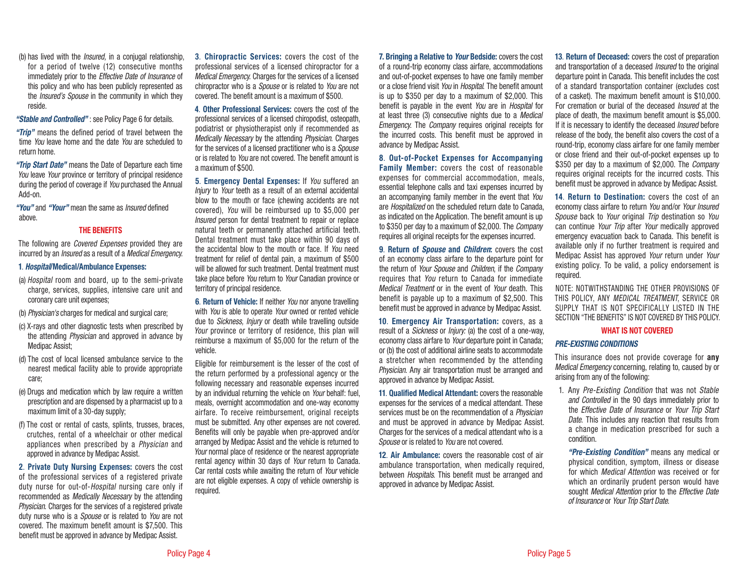(b) has lived with the *Insured,* in a conjugal relationship, for a period of twelve (12) consecutive months immediately prior to the *Effective Date of Insurance* of this policy and who has been publicly represented as the *Insured's Spouse* in the community in which they reside.

#### *"Stable and Controlled"* : see Policy Page 6 for details.

*"Trip"* means the defined period of travel between the time *You* leave home and the date *You* are scheduled to return home.

*"Trip Start Date"* means the Date of Departure each time *You* leave *Your* province or territory of principal residence during the period of coverage if *You* purchased the Annual Add-on.

*"You"* and *"Your"* mean the same as *Insured* defined above.

## THE BENEFITS

The following are *Covered Expenses* provided they are incurred by an *Insured* as a result of a *Medical Emergency*.

#### 1. *Hospital*/Medical/Ambulance Expenses:

- (a) *Hospital* room and board, up to the semi-private charge, services, supplies, intensive care unit and coronary care unit expenses;
- (b) *Physician's* charges for medical and surgical care;
- (c) X-rays and other diagnostic tests when prescribed by the attending *Physician* and approved in advance by Medipac Assist;
- (d) The cost of local licensed ambulance service to the nearest medical facility able to provide appropriate care;
- (e) Drugs and medication which by law require a written prescription and are dispensed by a pharmacist up to a maximum limit of a 30-day supply;
- (f) The cost or rental of casts, splints, trusses, braces, crutches, rental of a wheelchair or other medical appliances when prescribed by a *Physician* and approved in advance by Medipac Assist.

2. Private Duty Nursing Expenses: covers the cost of the professional services of a registered private duty nurse for out-of-*Hospital* nursing care only if recommended as *Medically Necessary* by the attending *Physician*. Charges for the services of a registered private duty nurse who is a *Spouse* or is related to *You* are not covered. The maximum benefit amount is \$7,500. This benefit must be approved in advance by Medipac Assist.

3. Chiropractic Services: covers the cost of the professional services of a licensed chiropractor for a *Medical Emergency.* Charges for the services of a licensed chiropractor who is a *Spouse* or is related to *You* are not covered. The benefit amount is a maximum of \$500.

4. Other Professional Services: covers the cost of the professional services of a licensed chiropodist, osteopath, podiatrist or physiotherapist only if recommended as *Medically Necessary* by the attending *Physician*. Charges for the services of a licensed practitioner who is a *Spouse* or is related to *You* are not covered. The benefit amount is a maximum of \$500.

5. Emergency Dental Expenses: If *You* suffered an *Injury* to *Your* teeth as a result of an external accidental blow to the mouth or face (chewing accidents are not covered), *You* will be reimbursed up to \$5,000 per *Insured* person for dental treatment to repair or replace natural teeth or permanently attached artificial teeth. Dental treatment must take place within 90 days of the accidental blow to the mouth or face. If *You* need treatment for relief of dental pain, a maximum of \$500 will be allowed for such treatment. Dental treatment must take place before *You* return to *Your* Canadian province or territory of principal residence.

6. Return of Vehicle: If neither *You* nor anyone travelling with *You* is able to operate *Your* owned or rented vehicle due to *Sickness, Injury* or death while travelling outside *Your* province or territory of residence, this plan will reimburse a maximum of \$5,000 for the return of the vehicle.

Eligible for reimbursement is the lesser of the cost of the return performed by a professional agency or the following necessary and reasonable expenses incurred by an individual returning the vehicle on *Your* behalf: fuel, meals, overnight accommodation and one-way economy airfare. To receive reimbursement, original receipts must be submitted. Any other expenses are not covered. Benefits will only be payable when pre-approved and/or arranged by Medipac Assist and the vehicle is returned to *Your* normal place of residence or the nearest appropriate rental agency within 30 days of *Your* return to Canada. Car rental costs while awaiting the return of *Your* vehicle are not eligible expenses. A copy of vehicle ownership is required.

7. Bringing a Relative to *Your* Bedside: covers the cost of a round-trip economy class airfare, accommodations and out-of-pocket expenses to have one family member or a close friend visit *You* in *Hospital*. The benefit amount is up to \$350 per day to a maximum of \$2,000. This benefit is payable in the event *You* are in *Hospital* for at least three (3) consecutive nights due to a *Medical Emergency*. The *Company* requires original receipts for the incurred costs. This benefit must be approved in advance by Medipac Assist.

### 8. Out-of-Pocket Expenses for Accompanying

Family Member: covers the cost of reasonable expenses for commercial accommodation, meals, essential telephone calls and taxi expenses incurred by an accompanying family member in the event that *You* are *Hospitalized* on the scheduled return date to Canada, as indicated on the Application. The benefit amount is up to \$350 per day to a maximum of \$2,000. The *Company* requires all original receipts for the expenses incurred.

9. Return of *Spouse* and *Children*: covers the cost of an economy class airfare to the departure point for the return of *Your Spouse* and *Children*, if the *Company* requires that *You* return to Canada for immediate *Medical Treatment* or in the event of *Your* death. This benefit is payable up to a maximum of \$2,500. This benefit must be approved in advance by Medipac Assist.

10. Emergency Air Transportation: covers, as a result of a *Sickness* or *Injury:* (a) the cost of a one-way, economy class airfare to *Your* departure point in Canada; or (b) the cost of additional airline seats to accommodate a stretcher when recommended by the attending *Physician*. Any air transportation must be arranged and approved in advance by Medipac Assist.

11. Qualified Medical Attendant: covers the reasonable expenses for the services of a medical attendant. These services must be on the recommendation of a *Physician* and must be approved in advance by Medipac Assist. Charges for the services of a medical attendant who is a *Spouse* or is related to *You* are not covered.

12. Air Ambulance: covers the reasonable cost of air ambulance transportation, when medically required, between *Hospitals*. This benefit must be arranged and approved in advance by Medipac Assist.

13. Return of Deceased: covers the cost of preparation and transportation of a deceased *Insured* to the original departure point in Canada. This benefit includes the cost of a standard transportation container (excludes cost of a casket). The maximum benefit amount is \$10,000. For cremation or burial of the deceased *Insured* at the place of death, the maximum benefit amount is \$5,000. If it is necessary to identify the deceased *Insured* before release of the body, the benefit also covers the cost of a round-trip, economy class airfare for one family member or close friend and their out-of-pocket expenses up to \$350 per day to a maximum of \$2,000. The *Company* requires original receipts for the incurred costs. This benefit must be approved in advance by Medipac Assist.

14. Return to Destination: covers the cost of an economy class airfare to return *You* and/or *Your Insured Spouse* back to *Your* original *Trip* destination so *You* can continue *Your Trip* after *Your* medically approved emergency evacuation back to Canada. This benefit is available only if no further treatment is required and Medipac Assist has approved *Your* return under *Your* existing policy. To be valid, a policy endorsement is required.

NOTE: NOTWITHSTANDING THE OTHER PROVISIONS OF THIS POLICY, ANY *MEDICAL TREATMENT*, SERVICE OR SUPPLY THAT IS NOT SPECIFICALLY LISTED IN THE SECTION "THE BENEFITS" IS NOT COVERED BY THIS POLICY.

#### WHAT IS NOT COVERED

#### *PRE-EXISTING CONDITIONS*

This insurance does not provide coverage for **any** *Medical Emergency* concerning, relating to, caused by or arising from any of the following:

1. Any *Pre-Existing Condition* that was not *Stable and Controlled* in the 90 days immediately prior to the *Effective Date of Insurance* or *Your Trip Start Date*. This includes any reaction that results from a change in medication prescribed for such a condition.

 *"Pre-Existing Condition"* means any medical or physical condition, symptom, illness or disease for which *Medical Attention* was received or for which an ordinarily prudent person would have sought *Medical Attention* prior to the *Effective Date of Insurance* or *Your Trip Start Date*.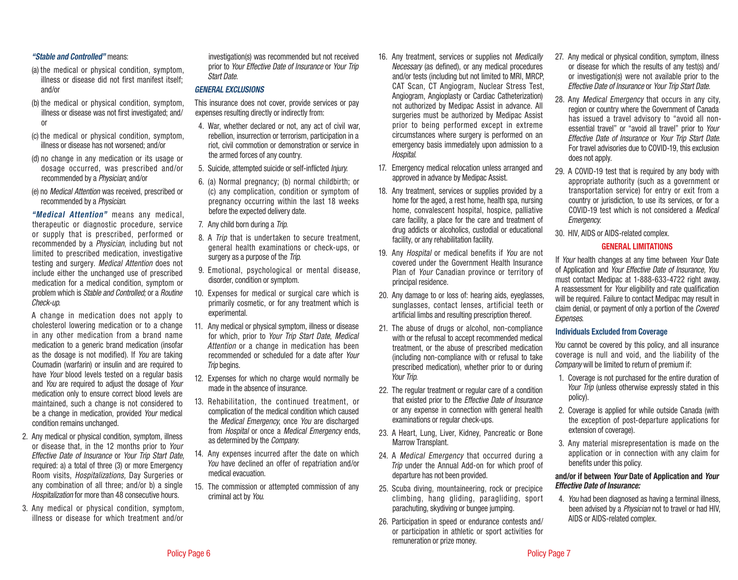## *"Stable and Controlled"* means:

- (a) the medical or physical condition, symptom, illness or disease did not first manifest itself; and/or
- (b) the medical or physical condition, symptom, illness or disease was not first investigated; and/ or
- (c) the medical or physical condition, symptom, illness or disease has not worsened; and/or
- (d) no change in any medication or its usage or dosage occurred, was prescribed and/or recommended by a *Physician*; and/or
- (e) no *Medical Attention* was received, prescribed or recommended by a *Physician*.

 *"Medical Attention"* means any medical, therapeutic or diagnostic procedure, service or supply that is prescribed, performed or recommended by a *Physician*, including but not limited to prescribed medication, investigative testing and surgery. *Medical Attention* does not include either the unchanged use of prescribed medication for a medical condition, symptom or problem which is *Stable and Controlled;* or a *Routine Check-up*.

 A change in medication does not apply to cholesterol lowering medication or to a change in any other medication from a brand name medication to a generic brand medication (insofar as the dosage is not modified). If *You* are taking Coumadin (warfarin) or insulin and are required to have *Your* blood levels tested on a regular basis and *You* are required to adjust the dosage of *Your* medication only to ensure correct blood levels are maintained, such a change is not considered to be a change in medication, provided *Your* medical condition remains unchanged.

- 2. Any medical or physical condition, symptom, illness or disease that, in the 12 months prior to *Your Effective Date of Insurance* or *Your Trip Start Date,* required: a) a total of three (3) or more Emergency Room visits, *Hospitalizations,* Day Surgeries or any combination of all three; and/or b) a single *Hospitalization* for more than 48 consecutive hours.
- 3. Any medical or physical condition, symptom, illness or disease for which treatment and/or

investigation(s) was recommended but not received prior to *Your Effective Date of Insurance* or *Your Trip Start Date.*

#### *GENERAL EXCLUSIONS*

This insurance does not cover, provide services or pay expenses resulting directly or indirectly from:

- 4. War, whether declared or not, any act of civil war, rebellion, insurrection or terrorism, participation in a riot, civil commotion or demonstration or service in the armed forces of any country.
- 5. Suicide, attempted suicide or self-inflicted *Injury*.
- 6. (a) Normal pregnancy; (b) normal childbirth; or (c) any complication, condition or symptom of pregnancy occurring within the last 18 weeks before the expected delivery date.
- 7. Any child born during a *Trip*.
- 8. A *Trip* that is undertaken to secure treatment, general health examinations or check-ups, or surgery as a purpose of the *Trip*.
- 9. Emotional, psychological or mental disease, disorder, condition or symptom.
- 10. Expenses for medical or surgical care which is primarily cosmetic, or for any treatment which is experimental.
- 11. Any medical or physical symptom, illness or disease for which, prior to *Your Trip Start Date*, *Medical Attention* or a change in medication has been recommended or scheduled for a date after *Your Trip* begins.
- 12. Expenses for which no charge would normally be made in the absence of insurance.
- 13. Rehabilitation, the continued treatment, or complication of the medical condition which caused the *Medical Emergency*, once *You* are discharged from *Hospital* or once a *Medical Emergency* ends, as determined by the *Company.*
- 14. Any expenses incurred after the date on which *You* have declined an offer of repatriation and/or medical evacuation.
- 15. The commission or attempted commission of any criminal act by *You*.
- 16. Any treatment, services or supplies not *Medically Necessary* (as defined), or any medical procedures and/or tests (including but not limited to MRI, MRCP, CAT Scan, CT Angiogram, Nuclear Stress Test, Angiogram, Angioplasty or Cardiac Catheterization) not authorized by Medipac Assist in advance. All surgeries must be authorized by Medipac Assist prior to being performed except in extreme circumstances where surgery is performed on an emergency basis immediately upon admission to a *Hospital*.
- 17. Emergency medical relocation unless arranged and approved in advance by Medipac Assist.
- 18. Any treatment, services or supplies provided by a home for the aged, a rest home, health spa, nursing home, convalescent hospital, hospice, palliative care facility, a place for the care and treatment of drug addicts or alcoholics, custodial or educational facility, or any rehabilitation facility.
- 19. Any *Hospital* or medical benefits if *You* are not covered under the Government Health Insurance Plan of *Your* Canadian province or territory of principal residence.
- 20. Any damage to or loss of: hearing aids, eyeglasses, sunglasses, contact lenses, artificial teeth or artificial limbs and resulting prescription thereof.
- 21. The abuse of drugs or alcohol, non-compliance with or the refusal to accept recommended medical treatment, or the abuse of prescribed medication (including non-compliance with or refusal to take prescribed medication), whether prior to or during *Your Trip*.
- 22. The regular treatment or regular care of a condition that existed prior to the *Effective Date of Insurance* or any expense in connection with general health examinations or regular check-ups.
- 23. A Heart, Lung, Liver, Kidney, Pancreatic or Bone Marrow Transplant.
- 24. A *Medical Emergency* that occurred during a *Trip* under the Annual Add-on for which proof of departure has not been provided.
- 25. Scuba diving, mountaineering, rock or precipice climbing, hang gliding, paragliding, sport parachuting, skydiving or bungee jumping.
- 26. Participation in speed or endurance contests and/ or participation in athletic or sport activities for remuneration or prize money.
- 27. Any medical or physical condition, symptom, illness or disease for which the results of any test(s) and/ or investigation(s) were not available prior to the *Effective Date of Insurance* or *Your Trip Start Date.*
- 28. Any *Medical Emergency* that occurs in any city, region or country where the Government of Canada has issued a travel advisory to "avoid all nonessential travel" or "avoid all travel" prior to *Your Effective Date of Insurance* or *Your Trip Start Date*. For travel advisories due to COVID-19, this exclusion does not apply.
- 29. A COVID-19 test that is required by any body with appropriate authority (such as a government or transportation service) for entry or exit from a country or jurisdiction, to use its services, or for a COVID-19 test which is not considered a *Medical Emergency*.
- 30. HIV, AIDS or AIDS-related complex.

## GENERAL LIMITATIONS

If *Your* health changes at any time between *Your* Date of Application and *Your Effective Date of Insurance, You* must contact Medipac at 1-888-633-4722 right away. A reassessment for *Your* eligibility and rate qualification will be required. Failure to contact Medipac may result in claim denial, or payment of only a portion of the *Covered Expenses*.

#### Individuals Excluded from Coverage

*You* cannot be covered by this policy, and all insurance coverage is null and void, and the liability of the *Company* will be limited to return of premium if:

- 1. Coverage is not purchased for the entire duration of Your *Trip* (unless otherwise expressly stated in this policy).
- 2. Coverage is applied for while outside Canada (with the exception of post-departure applications for extension of coverage).
- 3. Any material misrepresentation is made on the application or in connection with any claim for benefits under this policy.

## and/or if between *Your* Date of Application and *Your Effective Date of Insurance:*

4. *You* had been diagnosed as having a terminal illness, been advised by a *Physician* not to travel or had HIV, AIDS or AIDS-related complex.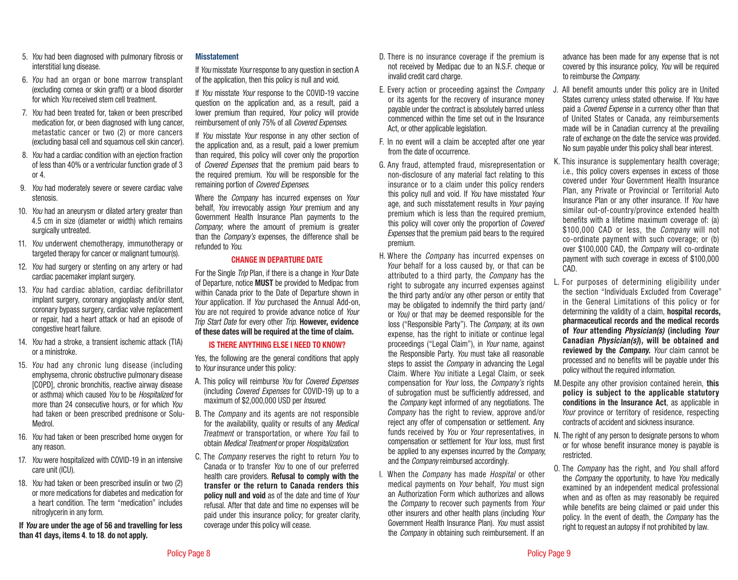- 5. *You* had been diagnosed with pulmonary fibrosis or interstitial lung disease.
- 6. *You* had an organ or bone marrow transplant (excluding cornea or skin graft) or a blood disorder for which *You* received stem cell treatment.
- 7. *You* had been treated for, taken or been prescribed medication for, or been diagnosed with lung cancer, metastatic cancer or two (2) or more cancers (excluding basal cell and squamous cell skin cancer).
- 8. *You* had a cardiac condition with an ejection fraction of less than 40% or a ventricular function grade of 3 or 4.
- 9. *You* had moderately severe or severe cardiac valve stenosis.
- 10. *You* had an aneurysm or dilated artery greater than 4.5 cm in size (diameter or width) which remains surgically untreated.
- 11. *You* underwent chemotherapy, immunotherapy or targeted therapy for cancer or malignant tumour(s).
- 12. *You* had surgery or stenting on any artery or had cardiac pacemaker implant surgery.
- 13. *You* had cardiac ablation, cardiac defibrillator implant surgery, coronary angioplasty and/or stent, coronary bypass surgery, cardiac valve replacement or repair, had a heart attack or had an episode of congestive heart failure.
- 14. *You* had a stroke, a transient ischemic attack (TIA) or a ministroke.
- 15. *You* had any chronic lung disease (including emphysema, chronic obstructive pulmonary disease [COPD], chronic bronchitis, reactive airway disease or asthma) which caused *You* to be *Hospitalized* for more than 24 consecutive hours, or for which *You*  had taken or been prescribed prednisone or Solu-Medrol.
- 16. *You* had taken or been prescribed home oxygen for any reason.
- 17. *You* were hospitalized with COVID-19 in an intensive care unit (ICU).
- 18. *You* had taken or been prescribed insulin or two (2) or more medications for diabetes and medication for a heart condition. The term "medication" includes nitroglycerin in any form.

If *You* are under the age of 56 and travelling for less than 41 days, items 4. to 18. do not apply.

## Misstatement

If *You* misstate *Your* response to any question in section A of the application, then this policy is null and void.

If *You* misstate *Your* response to the COVID-19 vaccine question on the application and, as a result, paid a lower premium than required, *Your* policy will provide reimbursement of only 75% of all *Covered Expenses*.

If *You* misstate *Your* response in any other section of the application and, as a result, paid a lower premium than required, this policy will cover only the proportion of *Covered Expenses* that the premium paid bears to the required premium. *You* will be responsible for the remaining portion of *Covered Expenses*.

Where the *Company* has incurred expenses on *Your* behalf, *You* irrevocably assign *Your* premium and any Government Health Insurance Plan payments to the *Company*; where the amount of premium is greater than the *Company's* expenses, the difference shall be refunded to *You*.

## CHANGE IN DEPARTURE DATE

For the Single *Trip* Plan, if there is a change in *Your* Date of Departure, notice MUST be provided to Medipac from within Canada prior to the Date of Departure shown in *Your* application. If *You* purchased the Annual Add-on, *You* are not required to provide advance notice of *Your Trip Start Date* for every other *Trip*. However, evidence of these dates will be required at the time of claim.

# IS THERE ANYTHING ELSE I NEED TO KNOW?

Yes, the following are the general conditions that apply to *Your* insurance under this policy:

- A. This policy will reimburse *You* for *Covered Expenses* (including *Covered Expenses* for COVID-19) up to a maximum of \$2,000,000 USD per *Insured*.
- B. The *Company* and its agents are not responsible for the availability, quality or results of any *Medical Treatment* or transportation, or where *You* fail to obtain *Medical Treatment* or proper *Hospitalization*.
- C. The *Company* reserves the right to return *You* to Canada or to transfer *You* to one of our preferred health care providers. Refusal to comply with the transfer or the return to Canada renders this policy null and void as of the date and time of *Your* refusal. After that date and time no expenses will be paid under this insurance policy; for greater clarity, coverage under this policy will cease.
- D. There is no insurance coverage if the premium is not received by Medipac due to an N.S.F. cheque or invalid credit card charge.
- E. Every action or proceeding against the *Company* or its agents for the recovery of insurance money payable under the contract is absolutely barred unless commenced within the time set out in the Insurance Act, or other applicable legislation.
- F. In no event will a claim be accepted after one year from the date of occurrence.
- G. Any fraud, attempted fraud, misrepresentation or non-disclosure of any material fact relating to this insurance or to a claim under this policy renders this policy null and void. If *You* have misstated *Your* age, and such misstatement results in *Your* paying premium which is less than the required premium, this policy will cover only the proportion of *Covered Expenses* that the premium paid bears to the required premium.
- H. Where the *Company* has incurred expenses on *Your* behalf for a loss caused by, or that can be attributed to a third party, the *Company* has the right to subrogate any incurred expenses against the third party and/or any other person or entity that may be obligated to indemnify the third party (and/ or *You)* or that may be deemed responsible for the loss ("Responsible Party"). The *Company*, at its own expense, has the right to initiate or continue legal proceedings ("Legal Claim"), in *Your* name, against the Responsible Party. *You* must take all reasonable steps to assist the *Company* in advancing the Legal Claim. Where *You* initiate a Legal Claim, or seek compensation for *Your* loss, the *Company's* rights of subrogation must be sufficiently addressed, and the *Company* kept informed of any negotiations. The *Company* has the right to review, approve and/or reject any offer of compensation or settlement. Any funds received by *You* or *Your* representatives, in compensation or settlement for *Your* loss, must first be applied to any expenses incurred by the *Company*, and the *Company* reimbursed accordingly.
- I. When the *Company* has made *Hospital* or other medical payments on *Your* behalf, *You* must sign an Authorization Form which authorizes and allows the *Company* to recover such payments from *Your* other insurers and other health plans (including *Your* Government Health Insurance Plan). *You* must assist the *Company* in obtaining such reimbursement. If an

advance has been made for any expense that is not covered by this insurance policy, *You* will be required to reimburse the *Company*.

- J. All benefit amounts under this policy are in United States currency unless stated otherwise. If *You* have paid a *Covered Expense* in a currency other than that of United States or Canada, any reimbursements made will be in Canadian currency at the prevailing rate of exchange on the date the service was provided. No sum payable under this policy shall bear interest.
- K. This insurance is supplementary health coverage; i.e., this policy covers expenses in excess of those covered under *Your* Government Health Insurance Plan, any Private or Provincial or Territorial Auto Insurance Plan or any other insurance. If *You* have similar out-of-country/province extended health benefits with a lifetime maximum coverage of: (a) \$100,000 CAD or less, the *Company* will not co-ordinate payment with such coverage; or (b) over \$100,000 CAD, the *Company* will co-ordinate payment with such coverage in excess of \$100,000 CAD.
- L. For purposes of determining eligibility under the section "Individuals Excluded from Coverage" in the General Limitations of this policy or for determining the validity of a claim, hospital records, pharmaceutical records and the medical records of *Your* attending *Physician(s)* (including *Your*  Canadian *Physician(s)*)*,* will be obtained and reviewed by the *Company. Your* claim cannot be processed and no benefits will be payable under this policy without the required information.
- M. Despite any other provision contained herein, this policy is subject to the applicable statutory conditions in the Insurance Act, as applicable in *Your* province or territory of residence, respecting contracts of accident and sickness insurance.
- N. The right of any person to designate persons to whom or for whose benefit insurance money is payable is restricted.
- O. The *Company* has the right, and *You* shall afford the *Company* the opportunity, to have *You* medically examined by an independent medical professional when and as often as may reasonably be required while benefits are being claimed or paid under this policy. In the event of death, the *Company* has the right to request an autopsy if not prohibited by law.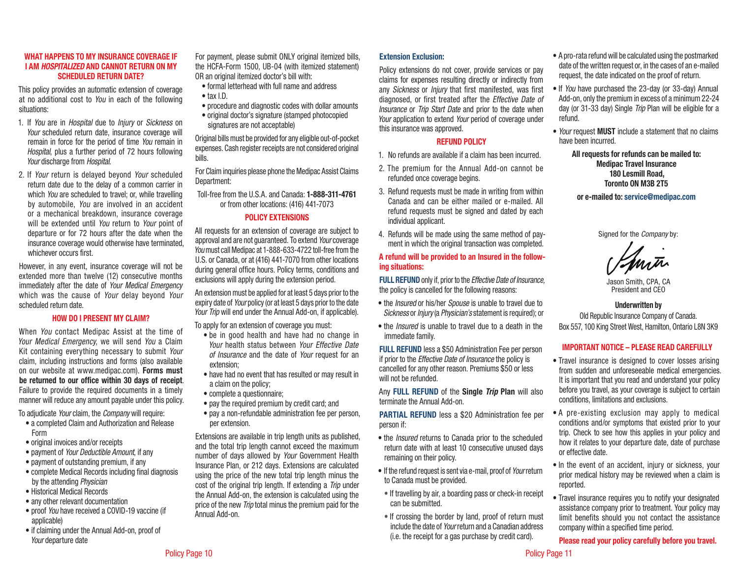#### WHAT HAPPENS TO MY INSURANCE COVERAGE IF I AM *HOSPITALIZED* AND CANNOT RETURN ON MY SCHEDULED RETURN DATE?

This policy provides an automatic extension of coverage at no additional cost to *You* in each of the following situations:

- 1. If *You* are in *Hospital* due to *Injury* or *Sickness* on *Your* scheduled return date, insurance coverage will remain in force for the period of time *You* remain in *Hospital*, plus a further period of 72 hours following *Your* discharge from *Hospital*.
- 2. If *Your* return is delayed beyond *Your* scheduled return date due to the delay of a common carrier in which *You* are scheduled to travel; or, while travelling by automobile, *You* are involved in an accident or a mechanical breakdown, insurance coverage will be extended until *You* return to *Your* point of departure or for 72 hours after the date when the insurance coverage would otherwise have terminated, whichever occurs first.

However, in any event, insurance coverage will not be extended more than twelve (12) consecutive months immediately after the date of *Your Medical Emergency*  which was the cause of *Your* delay beyond *Your* scheduled return date.

## HOW DO I PRESENT MY CLAIM?

When *You* contact Medipac Assist at the time of *Your Medical Emergency*, we will send *You* a Claim Kit containing everything necessary to submit *Your*  claim, including instructions and forms (also available on our website at www.medipac.com). Forms must be returned to our office within 30 days of receipt. Failure to provide the required documents in a timely manner will reduce any amount payable under this policy.

To adjudicate *Your* claim, the *Company* will require:

- a completed Claim and Authorization and Release Form
- original invoices and/or receipts
- payment of *Your Deductible Amount*, if any
- payment of outstanding premium, if any
- complete Medical Records including final diagnosis by the attending *Physician*
- Historical Medical Records
- any other relevant documentation
- proof *You* have received a COVID-19 vaccine (if applicable)
- if claiming under the Annual Add-on, proof of *Your* departure date

For payment, please submit ONLY original itemized bills, the HCFA-Form 1500, UB-04 (with itemized statement) OR an original itemized doctor's bill with:

- formal letterhead with full name and address • tax I.D.
- procedure and diagnostic codes with dollar amounts
- original doctor's signature (stamped photocopied signatures are not acceptable)

Original bills must be provided for any eligible out-of-pocket expenses. Cash register receipts are not considered original bills.

For Claim inquiries please phone the Medipac Assist Claims Department:

Toll-free from the U.S.A. and Canada: 1-888-311-4761 or from other locations: (416) 441-7073

## POLICY EXTENSIONS

All requests for an extension of coverage are subject to approval and are not guaranteed. To extend *Your* coverage *You* must call Medipac at 1-888-633-4722 toll-free from the U.S. or Canada, or at (416) 441-7070 from other locations during general office hours. Policy terms, conditions and exclusions will apply during the extension period.

An extension must be applied for at least 5 days prior to the expiry date of *Your* policy (or at least 5 days prior to the date *Your Trip* will end under the Annual Add-on, if applicable).

- To apply for an extension of coverage you must:
	- be in good health and have had no change in *Your* health status between *Your Effective Date of Insurance* and the date of *Your* request for an extension;
	- have had no event that has resulted or may result in a claim on the policy;
	- complete a questionnaire;
- pay the required premium by credit card; and
- pay a non-refundable administration fee per person, per extension.

Extensions are available in trip length units as published, and the total trip length cannot exceed the maximum number of days allowed by *Your* Government Health Insurance Plan, or 212 days. Extensions are calculated using the price of the new total trip length minus the cost of the original trip length. If extending a *Trip* under the Annual Add-on, the extension is calculated using the price of the new *Trip* total minus the premium paid for the Annual Add-on.

## Extension Exclusion:

Policy extensions do not cover, provide services or pay claims for expenses resulting directly or indirectly from any *Sickness* or *Injury* that first manifested, was first diagnosed, or first treated after the *Effective Date of Insurance* or *Trip Start Date* and prior to the date when *Your* application to extend *Your* period of coverage under this insurance was approved.

## REFUND POLICY

- 1. No refunds are available if a claim has been incurred.
- 2. The premium for the Annual Add-on cannot be refunded once coverage begins.
- 3. Refund requests must be made in writing from within Canada and can be either mailed or e-mailed. All refund requests must be signed and dated by each individual applicant.
- 4. Refunds will be made using the same method of payment in which the original transaction was completed.

## A refund will be provided to an Insured in the following situations:

FULL REFUND only if, prior to the *Effective Date of Insurance,*  the policy is cancelled for the following reasons:

- the *Insured* or his/her *Spouse* is unable to travel due to *Sickness* or *Injury* (a *Physician's* statement is required); or
- the *Insured* is unable to travel due to a death in the immediate family.

FULL REFUND less a \$50 Administration Fee per person if prior to the *Effective Date of Insurance* the policy is cancelled for any other reason. Premiums \$50 or less will not be refunded.

Any FULL REFUND of the Single *Trip* Plan will also terminate the Annual Add-on.

PARTIAL REFUND less a \$20 Administration fee per person if:

- the *Insured* returns to Canada prior to the scheduled return date with at least 10 consecutive unused days remaining on their policy.
- If the refund request is sent via e-mail, proof of *Your* return to Canada must be provided.
- If travelling by air, a boarding pass or check-in receipt can be submitted.
- If crossing the border by land, proof of return must include the date of *Your* return and a Canadian address (i.e. the receipt for a gas purchase by credit card).
- A pro-rata refund will be calculated using the postmarked date of the written request or, in the cases of an e-mailed request, the date indicated on the proof of return.
- If *You* have purchased the 23-day (or 33-day) Annual Add-on, only the premium in excess of a minimum 22-24 day (or 31-33 day) Single *Trip* Plan will be eligible for a refund.
- *Your* request MUST include a statement that no claims have been incurred.

All requests for refunds can be mailed to: Medipac Travel Insurance 180 Lesmill Road, Toronto ON M3B 2T5

or e-mailed to: service@medipac.com

Signed for the *Company* by:

Mutr

Jason Smith, CPA, CA President and CEO

#### Underwritten by

Old Republic Insurance Company of Canada. Box 557, 100 King Street West, Hamilton, Ontario L8N 3K9

## IMPORTANT NOTICE – PLEASE READ CAREFULLY

- Travel insurance is designed to cover losses arising from sudden and unforeseeable medical emergencies. It is important that you read and understand your policy before you travel, as your coverage is subject to certain conditions, limitations and exclusions.
- A pre-existing exclusion may apply to medical conditions and/or symptoms that existed prior to your trip. Check to see how this applies in your policy and how it relates to your departure date, date of purchase or effective date.
- In the event of an accident, injury or sickness, your prior medical history may be reviewed when a claim is reported.
- Travel insurance requires you to notify your designated assistance company prior to treatment. Your policy may limit benefits should you not contact the assistance company within a specified time period.

# Please read your policy carefully before you travel.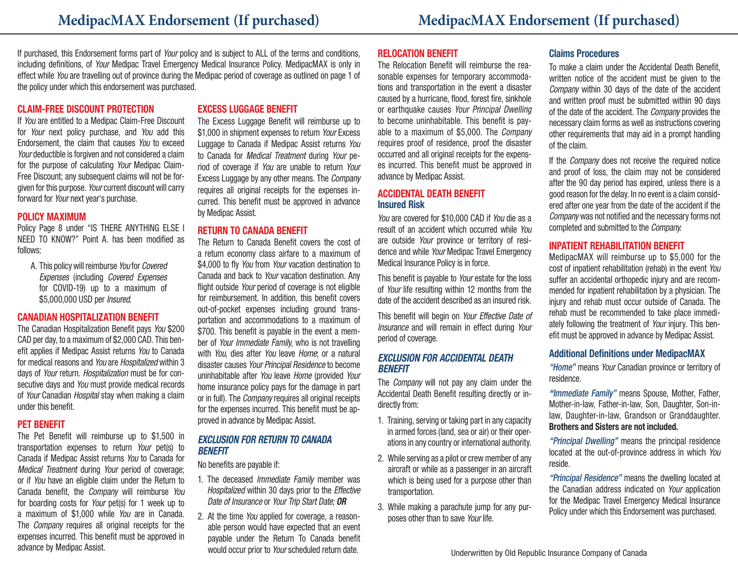If purchased, this Endorsement forms part of *Your* policy and is subject to ALL of the terms and conditions, including definitions, of *Your* Medipac Travel Emergency Medical Insurance Policy. MedipacMAX is only in effect while *You* are travelling out of province during the Medipac period of coverage as outlined on page 1 of the policy under which this endorsement was purchased.

## CLAIM-FREE DISCOUNT PROTECTION

If *You* are entitled to a Medipac Claim-Free Discount for *Your* next policy purchase, and *You* add this Endorsement, the claim that causes *You* to exceed *Your* deductible is forgiven and not considered a claim for the purpose of calculating *Your* Medipac Claim-Free Discount; any subsequent claims will not be forgiven for this purpose. *Your* current discount will carry forward for *Your* next year's purchase.

## POLICY MAXIMUM

Policy Page 8 under "IS THERE ANYTHING ELSE I NEED TO KNOW?" Point A. has been modified as follows:

A. This policy will reimburse *You* for *Covered Expenses* (including *Covered Expenses* for COVID-19) up to a maximum of \$5,000,000 USD per *Insured*.

# CANADIAN HOSPITALIZATION BENEFIT

The Canadian Hospitalization Benefit pays *You* \$200 CAD per day, to a maximum of \$2,000 CAD. This benefit applies if Medipac Assist returns *You* to Canada for medical reasons and *You* are *Hospitalized* within 3 days of *Your* return. *Hospitalization* must be for consecutive days and *You* must provide medical records of *Your* Canadian *Hospital* stay when making a claim under this benefit.

# PET BENEFIT

The Pet Benefit will reimburse up to \$1,500 in transportation expenses to return *Your* pet(s) to Canada if Medipac Assist returns *You* to Canada for *Medical Treatment* during *Your* period of coverage; or if *You* have an eligible claim under the Return to Canada benefit, the *Company* will reimburse *You* for boarding costs for *Your* pet(s) for 1 week up to a maximum of \$1,000 while *You* are in Canada. The *Company* requires all original receipts for the expenses incurred. This benefit must be approved in advance by Medipac Assist.

# EXCESS LUGGAGE BENEFIT

The Excess Luggage Benefit will reimburse up to \$1,000 in shipment expenses to return *Your* Excess Luggage to Canada if Medipac Assist returns *You* to Canada for *Medical Treatment* during *Your* period of coverage if *You* are unable to return *Your* Excess Luggage by any other means. The *Company* requires all original receipts for the expenses incurred. This benefit must be approved in advance by Medipac Assist.

## RETURN TO CANADA BENEFIT

The Return to Canada Benefit covers the cost of a return economy class airfare to a maximum of \$4,000 to fly *You* from *Your* vacation destination to Canada and back to *Your* vacation destination. Any flight outside *Your* period of coverage is not eligible for reimbursement. In addition, this benefit covers out-of-pocket expenses including ground transportation and accommodations to a maximum of \$700. This benefit is payable in the event a member of *Your Immediate Family*, who is not travelling with *You*, dies after *You* leave *Home*; or a natural disaster causes *Your Principal Residence* to become uninhabitable after *You* leave *Home* (provided *Your* home insurance policy pays for the damage in part or in full). The *Company* requires all original receipts for the expenses incurred. This benefit must be approved in advance by Medipac Assist.

# *EXCLUSION FOR RETURN TO CANADA BENEFIT*

No benefits are payable if:

- 1. The deceased *Immediate Family* member was *Hospitalized* within 30 days prior to the *Effective Date of Insurance* or *Your Trip Start Date; OR*
- 2. At the time *You* applied for coverage, a reasonable person would have expected that an event payable under the Return To Canada benefit would occur prior to *Your* scheduled return date.

## RELOCATION BENEFIT

The Relocation Benefit will reimburse the reasonable expenses for temporary accommodations and transportation in the event a disaster caused by a hurricane, flood, forest fire, sinkhole or earthquake causes *Your Principal Dwelling* to become uninhabitable. This benefit is payable to a maximum of \$5,000. The *Company* requires proof of residence, proof the disaster occurred and all original receipts for the expenses incurred. This benefit must be approved in advance by Medipac Assist.

# ACCIDENTAL DEATH BENEFIT Insured Risk

*You* are covered for \$10,000 CAD if *You* die as a result of an accident which occurred while *You* are outside *Your* province or territory of residence and while *Your* Medipac Travel Emergency Medical Insurance Policy is in force.

This benefit is payable to *Your* estate for the loss of *Your* life resulting within 12 months from the date of the accident described as an insured risk.

This benefit will begin on *Your Effective Date of Insurance* and will remain in effect during *Your* period of coverage.

## *EXCLUSION FOR ACCIDENTAL DEATH BENEFIT*

The *Company* will not pay any claim under the Accidental Death Benefit resulting directly or indirectly from:

- 1. Training, serving or taking part in any capacity in armed forces (land, sea or air) or their operations in any country or international authority.
- 2. While serving as a pilot or crew member of any aircraft or while as a passenger in an aircraft which is being used for a purpose other than transportation.
- 3. While making a parachute jump for any purposes other than to save *Your* life.

# Claims Procedures

To make a claim under the Accidental Death Benefit, written notice of the accident must be given to the *Company* within 30 days of the date of the accident and written proof must be submitted within 90 days of the date of the accident. The *Company* provides the necessary claim forms as well as instructions covering other requirements that may aid in a prompt handling of the claim.

If the *Company* does not receive the required notice and proof of loss, the claim may not be considered after the 90 day period has expired, unless there is a good reason for the delay. In no event is a claim considered after one year from the date of the accident if the *Company* was not notified and the necessary forms not completed and submitted to the *Company*.

# INPATIENT REHABILITATION BENEFIT

MedipacMAX will reimburse up to \$5,000 for the cost of inpatient rehabilitation (rehab) in the event *You* suffer an accidental orthopedic injury and are recommended for inpatient rehabilitation by a physician. The injury and rehab must occur outside of Canada. The rehab must be recommended to take place immediately following the treatment of *Your* injury. This benefit must be approved in advance by Medipac Assist.

# Additional Definitions under MedipacMAX

*"Home"* means *Your* Canadian province or territory of residence.

*"Immediate Family"* means Spouse, Mother, Father, Mother-in-law, Father-in-law, Son, Daughter, Son-inlaw, Daughter-in-law, Grandson or Granddaughter. Brothers and Sisters are not included.

*"Principal Dwelling"* means the principal residence located at the out-of-province address in which *You* reside.

*"Principal Residence"* means the dwelling located at the Canadian address indicated on *Your* application for the Medipac Travel Emergency Medical Insurance Policy under which this Endorsement was purchased.